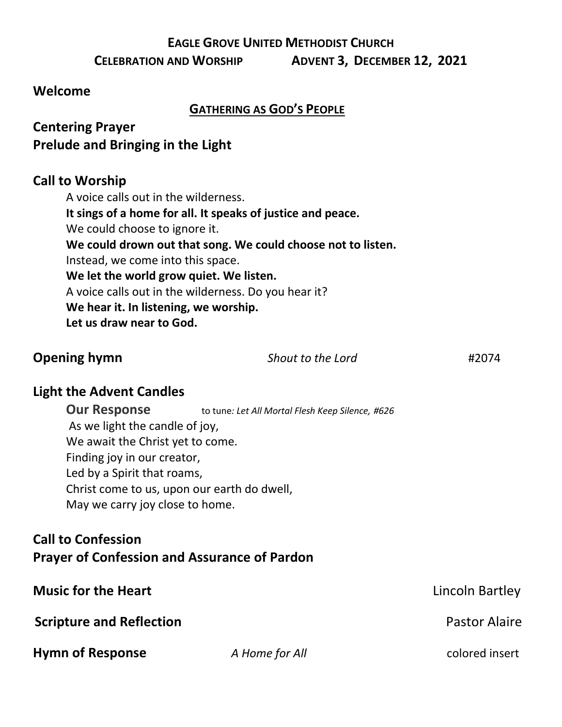#### **EAGLE GROVE UNITED METHODIST CHURCH**

**CELEBRATION AND WORSHIP ADVENT 3, DECEMBER 12, 2021**

#### **Welcome**

#### **GATHERING AS GOD'S PEOPLE**

## **Centering Prayer Prelude and Bringing in the Light**

#### **Call to Worship**

A voice calls out in the wilderness. **It sings of a home for all. It speaks of justice and peace.** We could choose to ignore it. **We could drown out that song. We could choose not to listen.** Instead, we come into this space. **We let the world grow quiet. We listen.** A voice calls out in the wilderness. Do you hear it? **We hear it. In listening, we worship. Let us draw near to God.**

| <b>Opening hymn</b> | Shout to the Lord | #2074 |
|---------------------|-------------------|-------|
|                     |                   |       |

#### **Light the Advent Candles**

**Our Response** to tune*: Let All Mortal Flesh Keep Silence, #626* As we light the candle of joy, We await the Christ yet to come. Finding joy in our creator, Led by a Spirit that roams, Christ come to us, upon our earth do dwell, May we carry joy close to home.

### **Call to Confession Prayer of Confession and Assurance of Pardon**

| <b>Music for the Heart</b>      |                | Lincoln Bartley      |
|---------------------------------|----------------|----------------------|
| <b>Scripture and Reflection</b> |                | <b>Pastor Alaire</b> |
| <b>Hymn of Response</b>         | A Home for All | colored insert       |